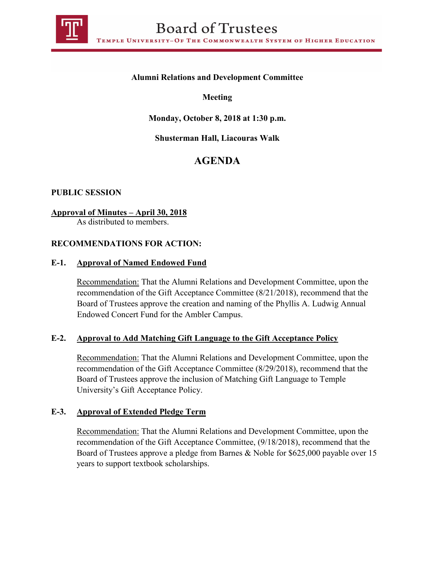

## **Alumni Relations and Development Committee**

### **Meeting**

## **Monday, October 8, 2018 at 1:30 p.m.**

### **Shusterman Hall, Liacouras Walk**

# **AGENDA**

#### **PUBLIC SESSION**

### **Approval of Minutes – April 30, 2018**

As distributed to members.

### **RECOMMENDATIONS FOR ACTION:**

#### **E-1. Approval of Named Endowed Fund**

Recommendation: That the Alumni Relations and Development Committee, upon the recommendation of the Gift Acceptance Committee (8/21/2018), recommend that the Board of Trustees approve the creation and naming of the Phyllis A. Ludwig Annual Endowed Concert Fund for the Ambler Campus.

#### **E-2. Approval to Add Matching Gift Language to the Gift Acceptance Policy**

Recommendation: That the Alumni Relations and Development Committee, upon the recommendation of the Gift Acceptance Committee (8/29/2018), recommend that the Board of Trustees approve the inclusion of Matching Gift Language to Temple University's Gift Acceptance Policy.

#### **E-3. Approval of Extended Pledge Term**

Recommendation: That the Alumni Relations and Development Committee, upon the recommendation of the Gift Acceptance Committee, (9/18/2018), recommend that the Board of Trustees approve a pledge from Barnes & Noble for \$625,000 payable over 15 years to support textbook scholarships.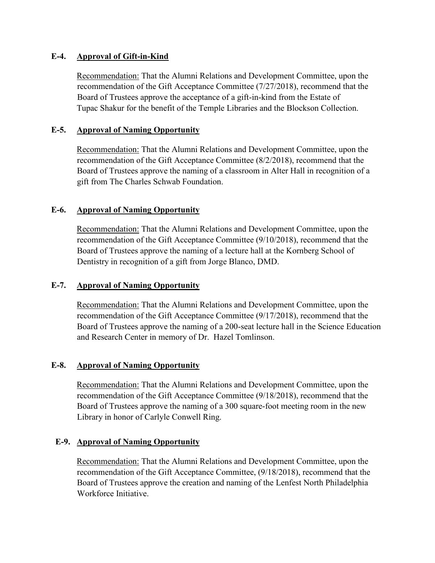### **E-4. Approval of Gift-in-Kind**

Recommendation: That the Alumni Relations and Development Committee, upon the recommendation of the Gift Acceptance Committee (7/27/2018), recommend that the Board of Trustees approve the acceptance of a gift-in-kind from the Estate of Tupac Shakur for the benefit of the Temple Libraries and the Blockson Collection.

## **E-5. Approval of Naming Opportunity**

Recommendation: That the Alumni Relations and Development Committee, upon the recommendation of the Gift Acceptance Committee (8/2/2018), recommend that the Board of Trustees approve the naming of a classroom in Alter Hall in recognition of a gift from The Charles Schwab Foundation.

## **E-6. Approval of Naming Opportunity**

Recommendation: That the Alumni Relations and Development Committee, upon the recommendation of the Gift Acceptance Committee (9/10/2018), recommend that the Board of Trustees approve the naming of a lecture hall at the Kornberg School of Dentistry in recognition of a gift from Jorge Blanco, DMD.

### **E-7. Approval of Naming Opportunity**

Recommendation: That the Alumni Relations and Development Committee, upon the recommendation of the Gift Acceptance Committee (9/17/2018), recommend that the Board of Trustees approve the naming of a 200-seat lecture hall in the Science Education and Research Center in memory of Dr. Hazel Tomlinson.

# **E-8. Approval of Naming Opportunity**

Recommendation: That the Alumni Relations and Development Committee, upon the recommendation of the Gift Acceptance Committee (9/18/2018), recommend that the Board of Trustees approve the naming of a 300 square-foot meeting room in the new Library in honor of Carlyle Conwell Ring.

# **E-9. Approval of Naming Opportunity**

Recommendation: That the Alumni Relations and Development Committee, upon the recommendation of the Gift Acceptance Committee, (9/18/2018), recommend that the Board of Trustees approve the creation and naming of the Lenfest North Philadelphia Workforce Initiative.